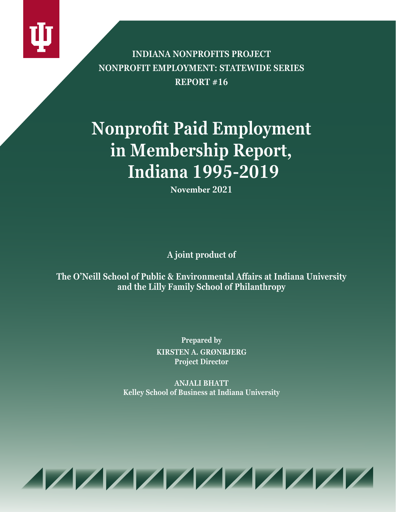

**INDIANA NONPROFITS PROJECT NONPROFIT EMPLOYMENT: STATEWIDE SERIES REPORT #16**

# **Nonprofit Paid Employment in Membership Report, Indiana 1995-2019**

**November 2021**

**A joint product of**

**The O'Neill School of Public & Environmental Affairs at Indiana University and the Lilly Family School of Philanthropy**

> **Prepared by KIRSTEN A. GRØNBJERG Project Director**

**ANJALI BHATT Kelley School of Business at Indiana University**

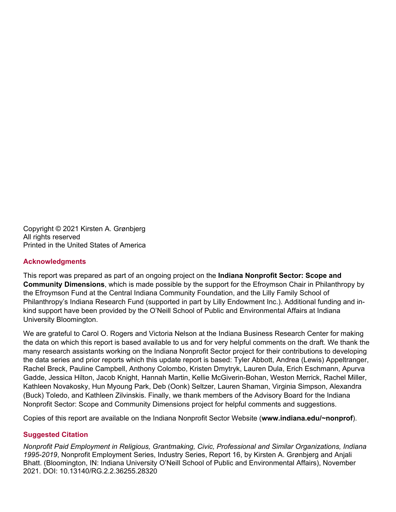Copyright © 2021 Kirsten A. Grønbjerg All rights reserved Printed in the United States of America

#### **Acknowledgments**

This report was prepared as part of an ongoing project on the **Indiana Nonprofit Sector: Scope and Community Dimensions**, which is made possible by the support for the Efroymson Chair in Philanthropy by the Efroymson Fund at the Central Indiana Community Foundation, and the Lilly Family School of Philanthropy's Indiana Research Fund (supported in part by Lilly Endowment Inc.). Additional funding and inkind support have been provided by the O'Neill School of Public and Environmental Affairs at Indiana University Bloomington.

We are grateful to Carol O. Rogers and Victoria Nelson at the Indiana Business Research Center for making the data on which this report is based available to us and for very helpful comments on the draft. We thank the many research assistants working on the Indiana Nonprofit Sector project for their contributions to developing the data series and prior reports which this update report is based: Tyler Abbott, Andrea (Lewis) Appeltranger, Rachel Breck, Pauline Campbell, Anthony Colombo, Kristen Dmytryk, Lauren Dula, Erich Eschmann, Apurva Gadde, Jessica Hilton, Jacob Knight, Hannah Martin, Kellie McGiverin-Bohan, Weston Merrick, Rachel Miller, Kathleen Novakosky, Hun Myoung Park, Deb (Oonk) Seltzer, Lauren Shaman, Virginia Simpson, Alexandra (Buck) Toledo, and Kathleen Zilvinskis. Finally, we thank members of the Advisory Board for the Indiana Nonprofit Sector: Scope and Community Dimensions project for helpful comments and suggestions.

Copies of this report are available on the Indiana Nonprofit Sector Website (**www.indiana.edu/~nonprof**).

#### **Suggested Citation**

*Nonprofit Paid Employment in Religious, Grantmaking, Civic, Professional and Similar Organizations, Indiana 1995-2019*, Nonprofit Employment Series, Industry Series, Report 16, by Kirsten A. Grønbjerg and Anjali Bhatt. (Bloomington, IN: Indiana University O'Neill School of Public and Environmental Affairs), November 2021. DOI: 10.13140/RG.2.2.36255.28320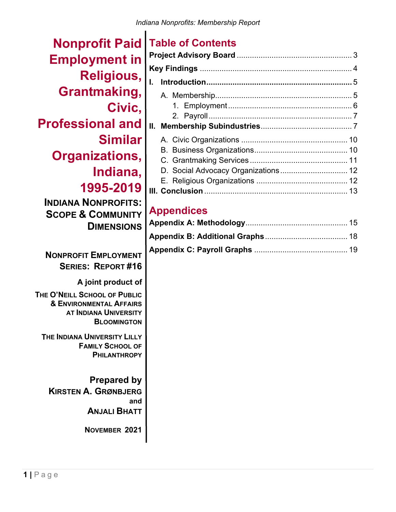**Nonprofit Paid Employment in Religious, Grantmaking, Civic, Professional and Similar Organizations, Indiana, 1995-2019 INDIANA NONPROFITS: SCOPE & COMMUNITY DIMENSIONS NONPROFIT EMPLOYMENT SERIES: REPORT #16 A joint product of THE O'NEILL SCHOOL OF PUBLIC & ENVIRONMENTAL AFFAIRS AT INDIANA UNIVERSITY BLOOMINGTON THE INDIANA UNIVERSITY LILLY FAMILY SCHOOL OF PHILANTHROPY Prepared by KIRSTEN A. GRØNBJERG** 

**and** 

**ANJALI BHATT**

**NOVEMBER 2021** 

# **Table of Contents**

| D. Social Advocacy Organizations 12 |  |
|-------------------------------------|--|
|                                     |  |
|                                     |  |
|                                     |  |

# **Appendices**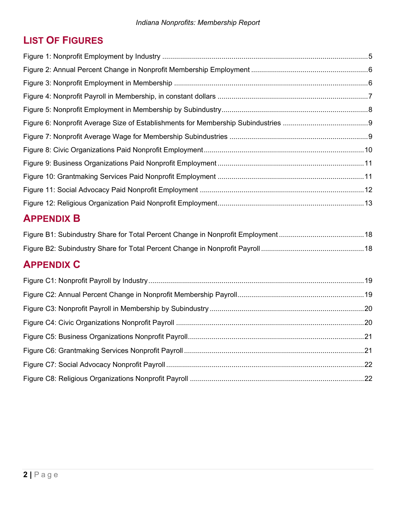# **LIST OF FIGURES**

# **APPENDIX B**

# **APPENDIX C**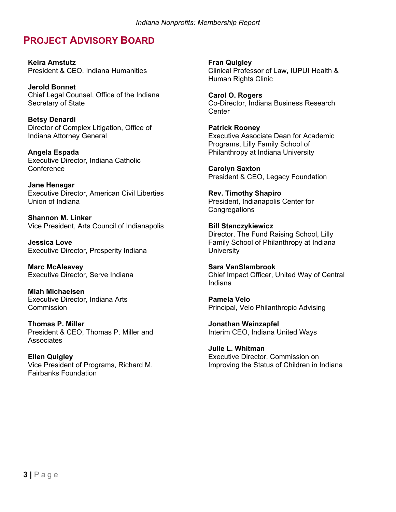## **PROJECT ADVISORY BOARD**

**Keira Amstutz**  President & CEO, Indiana Humanities

**Jerold Bonnet** Chief Legal Counsel, Office of the Indiana Secretary of State

**Betsy Denardi** Director of Complex Litigation, Office of Indiana Attorney General

**Angela Espada**  Executive Director, Indiana Catholic **Conference** 

**Jane Henegar** Executive Director, American Civil Liberties Union of Indiana

**Shannon M. Linker** Vice President, Arts Council of Indianapolis

**Jessica Love** Executive Director, Prosperity Indiana

**Marc McAleavey** Executive Director, Serve Indiana

**Miah Michaelsen** Executive Director, Indiana Arts **Commission** 

**Thomas P. Miller** President & CEO, Thomas P. Miller and **Associates** 

**Ellen Quigley** Vice President of Programs, Richard M. Fairbanks Foundation

 **Fran Quigley** Clinical Professor of Law, IUPUI Health & Human Rights Clinic

**Carol O. Rogers** Co-Director, Indiana Business Research **Center** 

**Patrick Rooney** Executive Associate Dean for Academic Programs, Lilly Family School of Philanthropy at Indiana University

**Carolyn Saxton** President & CEO, Legacy Foundation

**Rev. Timothy Shapiro** President, Indianapolis Center for **Congregations** 

**Bill Stanczykiewicz** Director, The Fund Raising School, Lilly Family School of Philanthropy at Indiana **University** 

**Sara VanSlambrook** Chief Impact Officer, United Way of Central Indiana

**Pamela Velo** Principal, Velo Philanthropic Advising

**Jonathan Weinzapfel**  Interim CEO, Indiana United Ways

**Julie L. Whitman** Executive Director, Commission on Improving the Status of Children in Indiana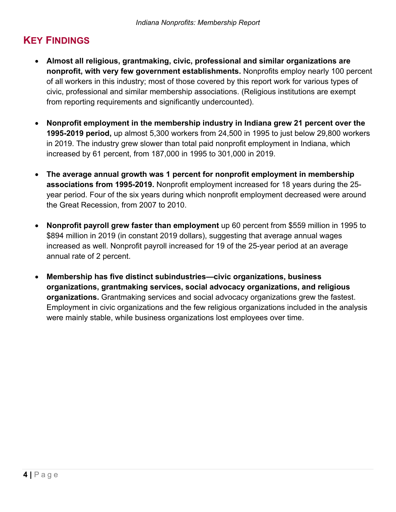# **KEY FINDINGS**

- **Almost all religious, grantmaking, civic, professional and similar organizations are nonprofit, with very few government establishments.** Nonprofits employ nearly 100 percent of all workers in this industry; most of those covered by this report work for various types of civic, professional and similar membership associations. (Religious institutions are exempt from reporting requirements and significantly undercounted).
- **Nonprofit employment in the membership industry in Indiana grew 21 percent over the 1995-2019 period,** up almost 5,300 workers from 24,500 in 1995 to just below 29,800 workers in 2019. The industry grew slower than total paid nonprofit employment in Indiana, which increased by 61 percent, from 187,000 in 1995 to 301,000 in 2019.
- **The average annual growth was 1 percent for nonprofit employment in membership associations from 1995-2019.** Nonprofit employment increased for 18 years during the 25 year period. Four of the six years during which nonprofit employment decreased were around the Great Recession, from 2007 to 2010.
- **Nonprofit payroll grew faster than employment** up 60 percent from \$559 million in 1995 to \$894 million in 2019 (in constant 2019 dollars), suggesting that average annual wages increased as well. Nonprofit payroll increased for 19 of the 25-year period at an average annual rate of 2 percent.
- **Membership has five distinct subindustries—civic organizations, business organizations, grantmaking services, social advocacy organizations, and religious organizations.** Grantmaking services and social advocacy organizations grew the fastest. Employment in civic organizations and the few religious organizations included in the analysis were mainly stable, while business organizations lost employees over time.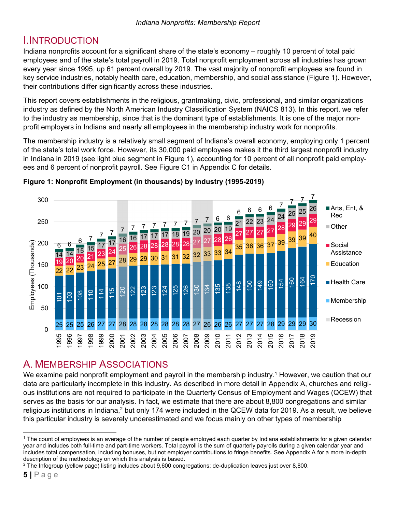### I.INTRODUCTION

Indiana nonprofits account for a significant share of the state's economy – roughly 10 percent of total paid employees and of the state's total payroll in 2019. Total nonprofit employment across all industries has grown every year since 1995, up 61 percent overall by 2019. The vast majority of nonprofit employees are found in key service industries, notably health care, education, membership, and social assistance (Figure 1). However, their contributions differ significantly across these industries.

This report covers establishments in the religious, grantmaking, civic, professional, and similar organizations industry as defined by the North American Industry Classification System (NAICS 813). In this report, we refer to the industry as membership, since that is the dominant type of establishments. It is one of the major nonprofit employers in Indiana and nearly all employees in the membership industry work for nonprofits.

The membership industry is a relatively small segment of Indiana's overall economy, employing only 1 percent of the state's total work force. However, its 30,000 paid employees makes it the third largest nonprofit industry in Indiana in 2019 (see light blue segment in Figure 1), accounting for 10 percent of all nonprofit paid employees and 6 percent of nonprofit payroll. See Figure C1 in Appendix C for details.



#### **Figure 1: Nonprofit Employment (in thousands) by Industry (1995-2019)**

# A. MEMBERSHIP ASSOCIATIONS

We examine paid nonprofit employment and payroll in the membership industry.<sup>1</sup> However, we caution that our data are particularly incomplete in this industry. As described in more detail in Appendix A, churches and religious institutions are not required to participate in the Quarterly Census of Employment and Wages (QCEW) that serves as the basis for our analysis. In fact, we estimate that there are about 8,800 congregations and similar religious institutions in Indiana,<sup>2</sup> but only 174 were included in the QCEW data for 2019. As a result, we believe this particular industry is severely underestimated and we focus mainly on other types of membership

 <sup>1</sup> The count of employees is an average of the number of people employed each quarter by Indiana establishments for a given calendar year and includes both full-time and part-time workers. Total payroll is the sum of quarterly payrolls during a given calendar year and includes total compensation, including bonuses, but not employer contributions to fringe benefits. See Appendix A for a more in-depth description of the methodology on which this analysis is based.

<sup>2</sup> The Infogroup (yellow page) listing includes about 9,600 congregations; de-duplication leaves just over 8,800.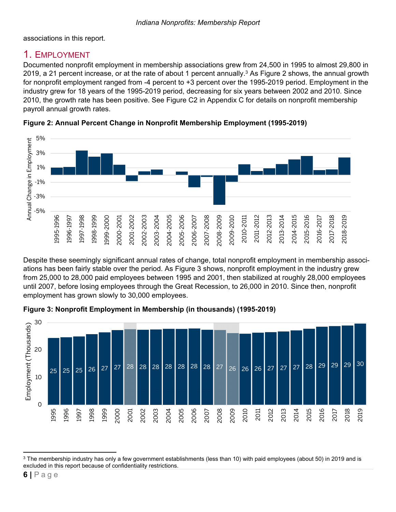associations in this report.

### 1. EMPLOYMENT

Documented nonprofit employment in membership associations grew from 24,500 in 1995 to almost 29,800 in 2019, a 21 percent increase, or at the rate of about 1 percent annually.<sup>3</sup> As Figure 2 shows, the annual growth for nonprofit employment ranged from -4 percent to +3 percent over the 1995-2019 period. Employment in the industry grew for 18 years of the 1995-2019 period, decreasing for six years between 2002 and 2010. Since 2010, the growth rate has been positive. See Figure C2 in Appendix C for details on nonprofit membership payroll annual growth rates.



**Figure 2: Annual Percent Change in Nonprofit Membership Employment (1995-2019)** 

Despite these seemingly significant annual rates of change, total nonprofit employment in membership associations has been fairly stable over the period. As Figure 3 shows, nonprofit employment in the industry grew from 25,000 to 28,000 paid employees between 1995 and 2001, then stabilized at roughly 28,000 employees until 2007, before losing employees through the Great Recession, to 26,000 in 2010. Since then, nonprofit employment has grown slowly to 30,000 employees.





 <sup>3</sup> The membership industry has only a few government establishments (less than 10) with paid employees (about 50) in 2019 and is excluded in this report because of confidentiality restrictions.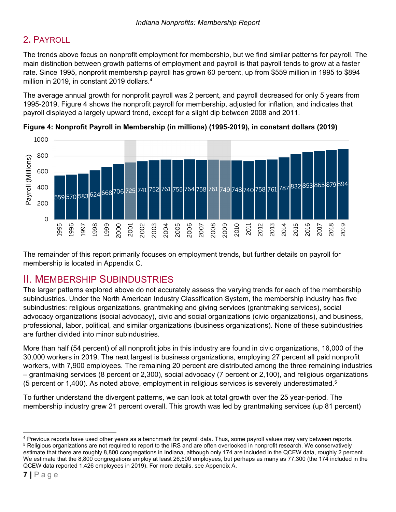### 2**.** PAYROLL

The trends above focus on nonprofit employment for membership, but we find similar patterns for payroll. The main distinction between growth patterns of employment and payroll is that payroll tends to grow at a faster rate. Since 1995, nonprofit membership payroll has grown 60 percent, up from \$559 million in 1995 to \$894 million in 2019, in constant 2019 dollars.4

The average annual growth for nonprofit payroll was 2 percent, and payroll decreased for only 5 years from 1995-2019. Figure 4 shows the nonprofit payroll for membership, adjusted for inflation, and indicates that payroll displayed a largely upward trend, except for a slight dip between 2008 and 2011.





The remainder of this report primarily focuses on employment trends, but further details on payroll for membership is located in Appendix C.

### II. MEMBERSHIP SUBINDUSTRIES

The larger patterns explored above do not accurately assess the varying trends for each of the membership subindustries. Under the North American Industry Classification System, the membership industry has five subindustries: religious organizations, grantmaking and giving services (grantmaking services), social advocacy organizations (social advocacy), civic and social organizations (civic organizations), and business, professional, labor, political, and similar organizations (business organizations). None of these subindustries are further divided into minor subindustries.

More than half (54 percent) of all nonprofit jobs in this industry are found in civic organizations, 16,000 of the 30,000 workers in 2019. The next largest is business organizations, employing 27 percent all paid nonprofit workers, with 7,900 employees. The remaining 20 percent are distributed among the three remaining industries – grantmaking services (8 percent or 2,300), social advocacy (7 percent or 2,100), and religious organizations (5 percent or 1,400). As noted above, employment in religious services is severely underestimated.5

To further understand the divergent patterns, we can look at total growth over the 25 year-period. The membership industry grew 21 percent overall. This growth was led by grantmaking services (up 81 percent)

  $4$  Previous reports have used other years as a benchmark for payroll data. Thus, some payroll values may vary between reports.<br><sup>5</sup> Religious organizations are not reguired to report to the IRS and are often overlooked in estimate that there are roughly 8,800 congregations in Indiana, although only 174 are included in the QCEW data, roughly 2 percent. We estimate that the 8,800 congregations employ at least 26,500 employees, but perhaps as many as 77,300 (the 174 included in the QCEW data reported 1,426 employees in 2019). For more details, see Appendix A.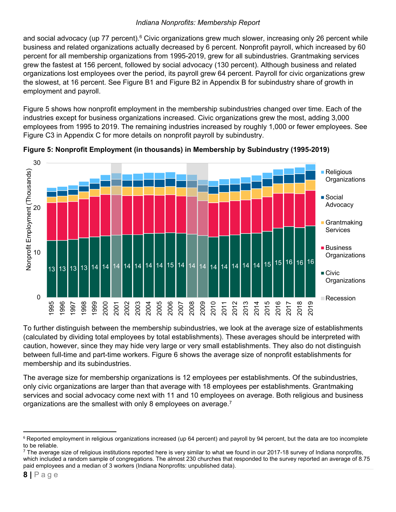and social advocacy (up 77 percent).<sup>6</sup> Civic organizations grew much slower, increasing only 26 percent while business and related organizations actually decreased by 6 percent. Nonprofit payroll, which increased by 60 percent for all membership organizations from 1995-2019, grew for all subindustries. Grantmaking services grew the fastest at 156 percent, followed by social advocacy (130 percent). Although business and related organizations lost employees over the period, its payroll grew 64 percent. Payroll for civic organizations grew the slowest, at 16 percent. See Figure B1 and Figure B2 in Appendix B for subindustry share of growth in employment and payroll.

Figure 5 shows how nonprofit employment in the membership subindustries changed over time. Each of the industries except for business organizations increased. Civic organizations grew the most, adding 3,000 employees from 1995 to 2019. The remaining industries increased by roughly 1,000 or fewer employees. See Figure C3 in Appendix C for more details on nonprofit payroll by subindustry.





To further distinguish between the membership subindustries, we look at the average size of establishments (calculated by dividing total employees by total establishments). These averages should be interpreted with caution, however, since they may hide very large or very small establishments. They also do not distinguish between full-time and part-time workers. Figure 6 shows the average size of nonprofit establishments for membership and its subindustries.

The average size for membership organizations is 12 employees per establishments. Of the subindustries, only civic organizations are larger than that average with 18 employees per establishments. Grantmaking services and social advocacy come next with 11 and 10 employees on average. Both religious and business organizations are the smallest with only 8 employees on average.7

 <sup>6</sup> Reported employment in religious organizations increased (up 64 percent) and payroll by 94 percent, but the data are too incomplete to be reliable.

 $7$  The average size of religious institutions reported here is very similar to what we found in our 2017-18 survey of Indiana nonprofits, which included a random sample of congregations. The almost 230 churches that responded to the survey reported an average of 8.75 paid employees and a median of 3 workers (Indiana Nonprofits: unpublished data).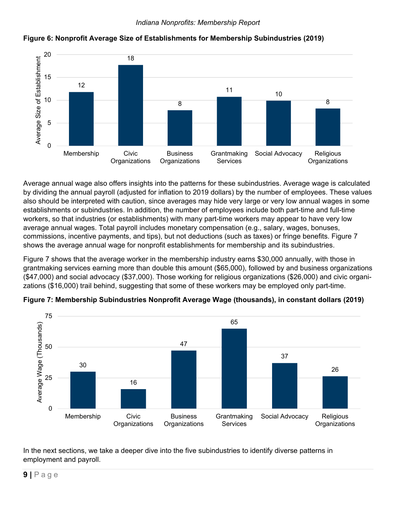

#### **Figure 6: Nonprofit Average Size of Establishments for Membership Subindustries (2019)**

Average annual wage also offers insights into the patterns for these subindustries. Average wage is calculated by dividing the annual payroll (adjusted for inflation to 2019 dollars) by the number of employees. These values also should be interpreted with caution, since averages may hide very large or very low annual wages in some establishments or subindustries. In addition, the number of employees include both part-time and full-time workers, so that industries (or establishments) with many part-time workers may appear to have very low average annual wages. Total payroll includes monetary compensation (e.g., salary, wages, bonuses, commissions, incentive payments, and tips), but not deductions (such as taxes) or fringe benefits. Figure 7 shows the average annual wage for nonprofit establishments for membership and its subindustries.

Figure 7 shows that the average worker in the membership industry earns \$30,000 annually, with those in grantmaking services earning more than double this amount (\$65,000), followed by and business organizations (\$47,000) and social advocacy (\$37,000). Those working for religious organizations (\$26,000) and civic organizations (\$16,000) trail behind, suggesting that some of these workers may be employed only part-time.



**Figure 7: Membership Subindustries Nonprofit Average Wage (thousands), in constant dollars (2019)** 

In the next sections, we take a deeper dive into the five subindustries to identify diverse patterns in employment and payroll.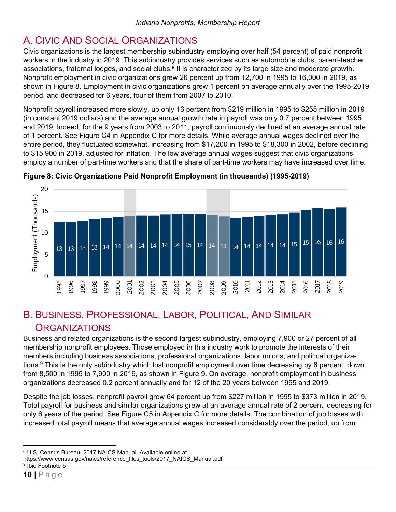# A. CIVIC AND SOCIAL ORGANIZATIONS

Civic organizations is the largest membership subindustry employing over half (54 percent) of paid nonprofit workers in the industry in 2019. This subindustry provides services such as automobile clubs, parent-teacher associations, fraternal lodges, and social clubs.<sup>8</sup> It is characterized by its large size and moderate growth. Nonprofit employment in civic organizations grew 26 percent up from 12,700 in 1995 to 16,000 in 2019, as shown in Figure 8. Employment in civic organizations grew 1 percent on average annually over the 1995-2019 period, and decreased for 6 years, four of them from 2007 to 2010.

Nonprofit payroll increased more slowly, up only 16 percent from \$219 million in 1995 to \$255 million in 2019 (in constant 2019 dollars) and the average annual growth rate in payroll was only 0.7 percent between 1995 and 2019. Indeed, for the 9 years from 2003 to 2011, payroll continuously declined at an average annual rate of 1 percent. See Figure C4 in Appendix C for more details. While average annual wages declined over the entire period, they fluctuated somewhat, increasing from \$17,200 in 1995 to \$18,300 in 2002, before declining to \$15,900 in 2019, adjusted for inflation. The low average annual wages suggest that civic organizations employ a number of part-time workers and that the share of part-time workers may have increased over time.





### B. BUSINESS, PROFESSIONAL, LABOR, POLITICAL, AND SIMILAR **ORGANIZATIONS**

Business and related organizations is the second largest subindustry, employing 7,900 or 27 percent of all membership nonprofit employees. Those employed in this industry work to promote the interests of their members including business associations, professional organizations, labor unions, and political organizations.9 This is the only subindustry which lost nonprofit employment over time decreasing by 6 percent, down from 8,500 in 1995 to 7,900 in 2019, as shown in Figure 9. On average, nonprofit employment in business organizations decreased 0.2 percent annually and for 12 of the 20 years between 1995 and 2019.

Despite the job losses, nonprofit payroll grew 64 percent up from \$227 million in 1995 to \$373 million in 2019. Total payroll for business and similar organizations grew at an average annual rate of 2 percent, decreasing for only 6 years of the period. See Figure C5 in Appendix C for more details. The combination of job losses with increased total payroll means that average annual wages increased considerably over the period, up from

 8 U.S. Census Bureau, 2017 NAICS Manual. Available online at

https://www.census.gov/naics/reference\_files\_tools/2017\_NAICS\_Manual.pdf 9 Ibid Footnote 5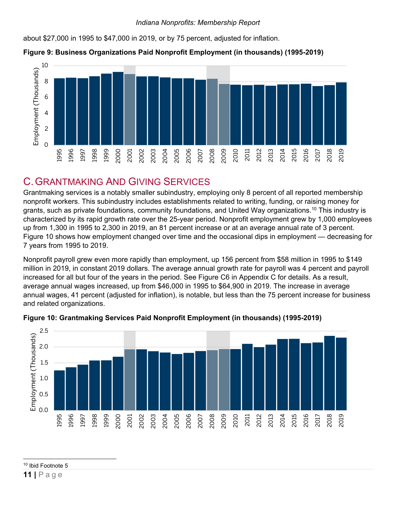about \$27,000 in 1995 to \$47,000 in 2019, or by 75 percent, adjusted for inflation.





### C. GRANTMAKING AND GIVING SERVICES

Grantmaking services is a notably smaller subindustry, employing only 8 percent of all reported membership nonprofit workers. This subindustry includes establishments related to writing, funding, or raising money for grants, such as private foundations, community foundations, and United Way organizations.<sup>10</sup> This industry is characterized by its rapid growth rate over the 25-year period. Nonprofit employment grew by 1,000 employees up from 1,300 in 1995 to 2,300 in 2019, an 81 percent increase or at an average annual rate of 3 percent. Figure 10 shows how employment changed over time and the occasional dips in employment — decreasing for 7 years from 1995 to 2019.

Nonprofit payroll grew even more rapidly than employment, up 156 percent from \$58 million in 1995 to \$149 million in 2019, in constant 2019 dollars. The average annual growth rate for payroll was 4 percent and payroll increased for all but four of the years in the period. See Figure C6 in Appendix C for details. As a result, average annual wages increased, up from \$46,000 in 1995 to \$64,900 in 2019. The increase in average annual wages, 41 percent (adjusted for inflation), is notable, but less than the 75 percent increase for business and related organizations.



#### **Figure 10: Grantmaking Services Paid Nonprofit Employment (in thousands) (1995-2019)**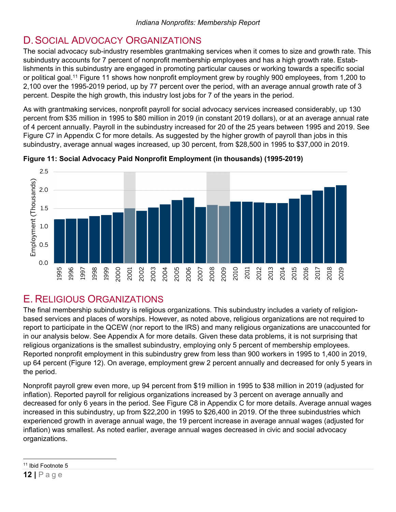# D. SOCIAL ADVOCACY ORGANIZATIONS

The social advocacy sub-industry resembles grantmaking services when it comes to size and growth rate. This subindustry accounts for 7 percent of nonprofit membership employees and has a high growth rate. Establishments in this subindustry are engaged in promoting particular causes or working towards a specific social or political goal.<sup>11</sup> Figure 11 shows how nonprofit employment grew by roughly 900 employees, from 1,200 to 2,100 over the 1995-2019 period, up by 77 percent over the period, with an average annual growth rate of 3 percent. Despite the high growth, this industry lost jobs for 7 of the years in the period.

As with grantmaking services, nonprofit payroll for social advocacy services increased considerably, up 130 percent from \$35 million in 1995 to \$80 million in 2019 (in constant 2019 dollars), or at an average annual rate of 4 percent annually. Payroll in the subindustry increased for 20 of the 25 years between 1995 and 2019. See Figure C7 in Appendix C for more details. As suggested by the higher growth of payroll than jobs in this subindustry, average annual wages increased, up 30 percent, from \$28,500 in 1995 to \$37,000 in 2019.



**Figure 11: Social Advocacy Paid Nonprofit Employment (in thousands) (1995-2019)** 

# E. RELIGIOUS ORGANIZATIONS

The final membership subindustry is religious organizations. This subindustry includes a variety of religionbased services and places of worships. However, as noted above, religious organizations are not required to report to participate in the QCEW (nor report to the IRS) and many religious organizations are unaccounted for in our analysis below. See Appendix A for more details. Given these data problems, it is not surprising that religious organizations is the smallest subindustry, employing only 5 percent of membership employees. Reported nonprofit employment in this subindustry grew from less than 900 workers in 1995 to 1,400 in 2019, up 64 percent (Figure 12). On average, employment grew 2 percent annually and decreased for only 5 years in the period.

Nonprofit payroll grew even more, up 94 percent from \$19 million in 1995 to \$38 million in 2019 (adjusted for inflation). Reported payroll for religious organizations increased by 3 percent on average annually and decreased for only 6 years in the period. See Figure C8 in Appendix C for more details. Average annual wages increased in this subindustry, up from \$22,200 in 1995 to \$26,400 in 2019. Of the three subindustries which experienced growth in average annual wage, the 19 percent increase in average annual wages (adjusted for inflation) was smallest. As noted earlier, average annual wages decreased in civic and social advocacy organizations.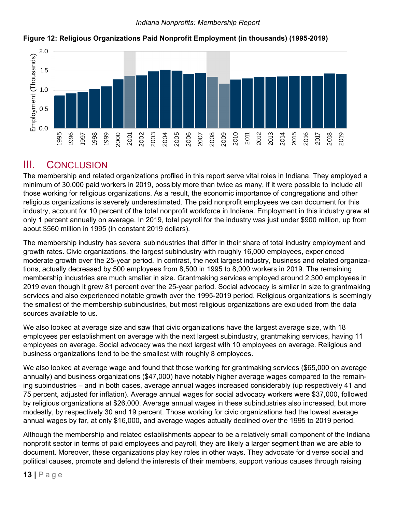

#### **Figure 12: Religious Organizations Paid Nonprofit Employment (in thousands) (1995-2019)**

### III. CONCLUSION

The membership and related organizations profiled in this report serve vital roles in Indiana. They employed a minimum of 30,000 paid workers in 2019, possibly more than twice as many, if it were possible to include all those working for religious organizations. As a result, the economic importance of congregations and other religious organizations is severely underestimated. The paid nonprofit employees we can document for this industry, account for 10 percent of the total nonprofit workforce in Indiana. Employment in this industry grew at only 1 percent annually on average. In 2019, total payroll for the industry was just under \$900 million, up from about \$560 million in 1995 (in constant 2019 dollars).

The membership industry has several subindustries that differ in their share of total industry employment and growth rates. Civic organizations, the largest subindustry with roughly 16,000 employees, experienced moderate growth over the 25-year period. In contrast, the next largest industry, business and related organizations, actually decreased by 500 employees from 8,500 in 1995 to 8,000 workers in 2019. The remaining membership industries are much smaller in size. Grantmaking services employed around 2,300 employees in 2019 even though it grew 81 percent over the 25-year period. Social advocacy is similar in size to grantmaking services and also experienced notable growth over the 1995-2019 period. Religious organizations is seemingly the smallest of the membership subindustries, but most religious organizations are excluded from the data sources available to us.

We also looked at average size and saw that civic organizations have the largest average size, with 18 employees per establishment on average with the next largest subindustry, grantmaking services, having 11 employees on average. Social advocacy was the next largest with 10 employees on average. Religious and business organizations tend to be the smallest with roughly 8 employees.

We also looked at average wage and found that those working for grantmaking services (\$65,000 on average annually) and business organizations (\$47,000) have notably higher average wages compared to the remaining subindustries – and in both cases, average annual wages increased considerably (up respectively 41 and 75 percent, adjusted for inflation). Average annual wages for social advocacy workers were \$37,000, followed by religious organizations at \$26,000. Average annual wages in these subindustries also increased, but more modestly, by respectively 30 and 19 percent. Those working for civic organizations had the lowest average annual wages by far, at only \$16,000, and average wages actually declined over the 1995 to 2019 period.

Although the membership and related establishments appear to be a relatively small component of the Indiana nonprofit sector in terms of paid employees and payroll, they are likely a larger segment than we are able to document. Moreover, these organizations play key roles in other ways. They advocate for diverse social and political causes, promote and defend the interests of their members, support various causes through raising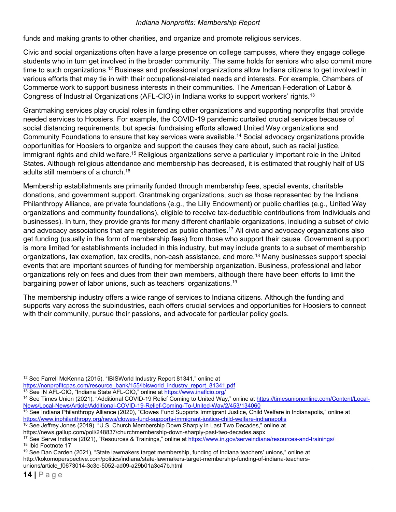funds and making grants to other charities, and organize and promote religious services.

Civic and social organizations often have a large presence on college campuses, where they engage college students who in turn get involved in the broader community. The same holds for seniors who also commit more time to such organizations.<sup>12</sup> Business and professional organizations allow Indiana citizens to get involved in various efforts that may tie in with their occupational-related needs and interests. For example, Chambers of Commerce work to support business interests in their communities. The American Federation of Labor & Congress of Industrial Organizations (AFL-CIO) in Indiana works to support workers' rights.13

Grantmaking services play crucial roles in funding other organizations and supporting nonprofits that provide needed services to Hoosiers. For example, the COVID-19 pandemic curtailed crucial services because of social distancing requirements, but special fundraising efforts allowed United Way organizations and Community Foundations to ensure that key services were available.14 Social advocacy organizations provide opportunities for Hoosiers to organize and support the causes they care about, such as racial justice, immigrant rights and child welfare.<sup>15</sup> Religious organizations serve a particularly important role in the United States. Although religious attendance and membership has decreased, it is estimated that roughly half of US adults still members of a church.16

Membership establishments are primarily funded through membership fees, special events, charitable donations, and government support. Grantmaking organizations, such as those represented by the Indiana Philanthropy Alliance, are private foundations (e.g., the Lilly Endowment) or public charities (e.g., United Way organizations and community foundations), eligible to receive tax-deductible contributions from Individuals and businesses). In turn, they provide grants for many different charitable organizations, including a subset of civic and advocacy associations that are registered as public charities.<sup>17</sup> All civic and advocacy organizations also get funding (usually in the form of membership fees) from those who support their cause. Government support is more limited for establishments included in this industry, but may include grants to a subset of membership organizations, tax exemption, tax credits, non-cash assistance, and more.18 Many businesses support special events that are important sources of funding for membership organization. Business, professional and labor organizations rely on fees and dues from their own members, although there have been efforts to limit the bargaining power of labor unions, such as teachers' organizations.19

The membership industry offers a wide range of services to Indiana citizens. Although the funding and supports vary across the subindustries, each offers crucial services and opportunities for Hoosiers to connect with their community, pursue their passions, and advocate for particular policy goals.

 <sup>12</sup> See Farrell McKenna (2015), "IBISWorld Industry Report 81341," online at https://nonprofitcpas.com/resource bank/155/ibisworld industry report 81341.pdf

<sup>19</sup> See Dan Carden (2021), "State lawmakers target membership, funding of Indiana teachers' unions," online at http://kokomoperspective.com/politics/indiana/state-lawmakers-target-membership-funding-of-indiana-teachersunions/article\_f0673014-3c3e-5052-ad09-a29b01a3c47b.html

<sup>&</sup>lt;sup>13</sup> See IN AFL-CIO, "Indiana State AFL-CIO," online at https://www.inaficio.org/<br><sup>14</sup> See Times Union (2021), "Additional COVID-19 Relief Coming to United Way," online at https://timesuniononline.com/Content/Local-News/Local-News/Article/Additional-COVID-19-Relief-Coming-To-United-Way/2/453/134060

<sup>15</sup> See Indiana Philanthropy Alliance (2020), "Clowes Fund Supports Immigrant Justice, Child Welfare in Indianapolis," online at https://www.inphilanthropy.org/news/clowes-fund-supports-immigrant-justice-child-welfare-indianapolis <sup>16</sup> See Jeffrey Jones (2019), "U.S. Church Membership Down Sharply in Last Two Decades," online at

https://news.gallup.com/poll/248837/churchmembership-down-sharply-past-two-decades.aspx<br><sup>17</sup> See Serve Indiana (2021), "Resources & Trainings," online at <u>https://www.in.gov/serveindiana/resources-and-trainings/</u><br><sup>18</sup> Ibid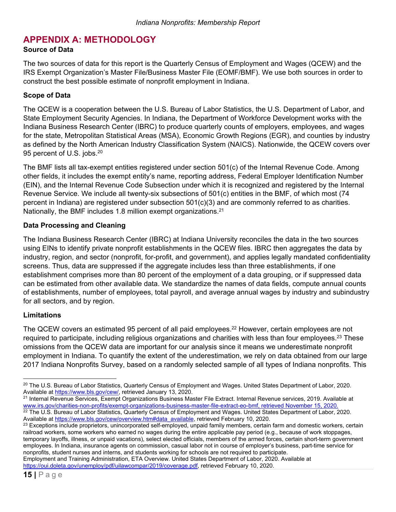### **APPENDIX A: METHODOLOGY**

#### **Source of Data**

The two sources of data for this report is the Quarterly Census of Employment and Wages (QCEW) and the IRS Exempt Organization's Master File/Business Master File (EOMF/BMF). We use both sources in order to construct the best possible estimate of nonprofit employment in Indiana.

#### **Scope of Data**

The QCEW is a cooperation between the U.S. Bureau of Labor Statistics, the U.S. Department of Labor, and State Employment Security Agencies. In Indiana, the Department of Workforce Development works with the Indiana Business Research Center (IBRC) to produce quarterly counts of employers, employees, and wages for the state, Metropolitan Statistical Areas (MSA), Economic Growth Regions (EGR), and counties by industry as defined by the North American Industry Classification System (NAICS). Nationwide, the QCEW covers over 95 percent of U.S. jobs.<sup>20</sup>

The BMF lists all tax-exempt entities registered under section 501(c) of the Internal Revenue Code. Among other fields, it includes the exempt entity's name, reporting address, Federal Employer Identification Number (EIN), and the Internal Revenue Code Subsection under which it is recognized and registered by the Internal Revenue Service. We include all twenty-six subsections of 501(c) entities in the BMF, of which most (74 percent in Indiana) are registered under subsection 501(c)(3) and are commonly referred to as charities. Nationally, the BMF includes 1.8 million exempt organizations.<sup>21</sup>

#### **Data Processing and Cleaning**

The Indiana Business Research Center (IBRC) at Indiana University reconciles the data in the two sources using EINs to identify private nonprofit establishments in the QCEW files. IBRC then aggregates the data by industry, region, and sector (nonprofit, for-profit, and government), and applies legally mandated confidentiality screens. Thus, data are suppressed if the aggregate includes less than three establishments, if one establishment comprises more than 80 percent of the employment of a data grouping, or if suppressed data can be estimated from other available data. We standardize the names of data fields, compute annual counts of establishments, number of employees, total payroll, and average annual wages by industry and subindustry for all sectors, and by region.

#### **Limitations**

The QCEW covers an estimated 95 percent of all paid employees.<sup>22</sup> However, certain employees are not required to participate, including religious organizations and charities with less than four employees.<sup>23</sup> These omissions from the QCEW data are important for our analysis since it means we underestimate nonprofit employment in Indiana. To quantify the extent of the underestimation, we rely on data obtained from our large 2017 Indiana Nonprofits Survey, based on a randomly selected sample of all types of Indiana nonprofits. This

www.irs.gov/charities-non-profits/exempt-organizations-business-master-file-extract-eo-bmf, retrieved November 15, 2020.<br><sup>22</sup> The U.S. Bureau of Labor Statistics, Quarterly Census of Employment and Wages. United States Dep

Employment and Training Administration, ETA Overview. United States Department of Labor, 2020. Available at https://oui.doleta.gov/unemploy/pdf/uilawcompar/2019/coverage.pdf, retrieved February 10, 2020.

 <sup>20</sup> The U.S. Bureau of Labor Statistics, Quarterly Census of Employment and Wages. United States Department of Labor, 2020. Available at <u>https://www.bls.gov/cew/</u>, retrieved January 13, 2020.<br><sup>21</sup> Internal Revenue Services, Exempt Organizations Business Master File Extract. Internal Revenue services, 2019. Available at

Available at https://www.bls.gov/cew/overview.htm#data\_available, retrieved February 10, 2020.<br><sup>23</sup> Exceptions include proprietors, unincorporated self-employed, unpaid family members, certain farm and domestic workers, ce railroad workers, some workers who earned no wages during the entire applicable pay period (e.g., because of work stoppages, temporary layoffs, illness, or unpaid vacations), select elected officials, members of the armed forces, certain short-term government employees. In Indiana, insurance agents on commission, casual labor not in course of employer's business, part-time service for nonprofits, student nurses and interns, and students working for schools are not required to participate.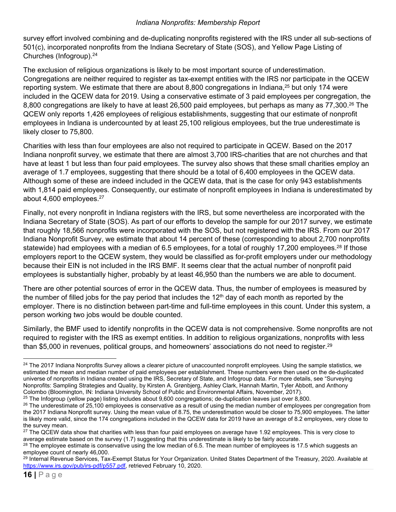survey effort involved combining and de-duplicating nonprofits registered with the IRS under all sub-sections of 501(c), incorporated nonprofits from the Indiana Secretary of State (SOS), and Yellow Page Listing of Churches (Infogroup).24

The exclusion of religious organizations is likely to be most important source of underestimation. Congregations are neither required to register as tax-exempt entities with the IRS nor participate in the QCEW reporting system. We estimate that there are about 8,800 congregations in Indiana,<sup>25</sup> but only 174 were included in the QCEW data for 2019. Using a conservative estimate of 3 paid employees per congregation, the 8,800 congregations are likely to have at least 26,500 paid employees, but perhaps as many as 77,300.<sup>26</sup> The QCEW only reports 1,426 employees of religious establishments, suggesting that our estimate of nonprofit employees in Indiana is undercounted by at least 25,100 religious employees, but the true underestimate is likely closer to 75,800.

Charities with less than four employees are also not required to participate in QCEW. Based on the 2017 Indiana nonprofit survey, we estimate that there are almost 3,700 IRS-charities that are not churches and that have at least 1 but less than four paid employees. The survey also shows that these small charities employ an average of 1.7 employees, suggesting that there should be a total of 6,400 employees in the QCEW data. Although some of these are indeed included in the QCEW data, that is the case for only 943 establishments with 1,814 paid employees. Consequently, our estimate of nonprofit employees in Indiana is underestimated by about 4,600 employees.27

Finally, not every nonprofit in Indiana registers with the IRS, but some nevertheless are incorporated with the Indiana Secretary of State (SOS). As part of our efforts to develop the sample for our 2017 survey, we estimate that roughly 18,566 nonprofits were incorporated with the SOS, but not registered with the IRS. From our 2017 Indiana Nonprofit Survey, we estimate that about 14 percent of these (corresponding to about 2,700 nonprofits statewide) had employees with a median of 6.5 employees, for a total of roughly 17,200 employees.<sup>28</sup> If those employers report to the QCEW system, they would be classified as for-profit employers under our methodology because their EIN is not included in the IRS BMF. It seems clear that the actual number of nonprofit paid employees is substantially higher, probably by at least 46,950 than the numbers we are able to document.

There are other potential sources of error in the QCEW data. Thus, the number of employees is measured by the number of filled jobs for the pay period that includes the  $12<sup>th</sup>$  day of each month as reported by the employer. There is no distinction between part-time and full-time employees in this count. Under this system, a person working two jobs would be double counted.

Similarly, the BMF used to identify nonprofits in the QCEW data is not comprehensive. Some nonprofits are not required to register with the IRS as exempt entities. In addition to religious organizations, nonprofits with less than \$5,000 in revenues, political groups, and homeowners' associations do not need to register.<sup>29</sup>

 <sup>24</sup> The 2017 Indiana Nonprofits Survey allows a clearer picture of unaccounted nonprofit employees. Using the sample statistics, we estimated the mean and median number of paid employees per establishment. These numbers were then used on the de-duplicated universe of nonprofits in Indiana created using the IRS, Secretary of State, and Infogroup data. For more details, see "Surveying Nonprofits: Sampling Strategies and Quality, by Kirsten A. Grønbjerg, Ashley Clark, Hannah Martin, Tyler Abbott, and Anthony<br>Colombo (Bloomington, IN: Indiana University School of Public and Environmental Affairs, November

 $^{25}$  The Infogroup (yellow page) listing includes about 9,600 congregations; de-duplication leaves just over 8,800.<br><sup>26</sup> The underestimate of 25,100 employees is conservative as a result of using the median number of em the 2017 Indiana Nonprofit survey. Using the mean value of 8.75, the underestimation would be closer to 75,900 employees. The latter is likely more valid, since the 174 congregations included in the QCEW data for 2019 have an average of 8.2 employees, very close to the survey mean.

 $27$  The QCEW data show that charities with less than four paid employees on average have 1.92 employees. This is very close to average estimate based on the survey (1.7) suggesting that this underestimate is likely to be

<sup>&</sup>lt;sup>28</sup> The employee estimate is conservative using the low median of 6.5. The mean number of employees is 17.5 which suggests an employee count of nearly 46,000.

<sup>&</sup>lt;sup>29</sup> Internal Revenue Services, Tax-Exempt Status for Your Organization. United States Department of the Treasury, 2020. Available at https://www.irs.gov/pub/irs-pdf/p557.pdf, retrieved February 10, 2020.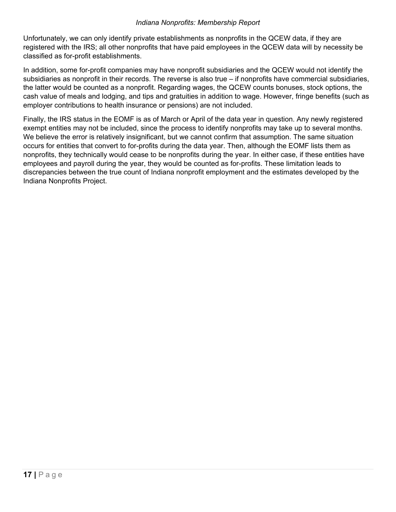Unfortunately, we can only identify private establishments as nonprofits in the QCEW data, if they are registered with the IRS; all other nonprofits that have paid employees in the QCEW data will by necessity be classified as for-profit establishments.

In addition, some for-profit companies may have nonprofit subsidiaries and the QCEW would not identify the subsidiaries as nonprofit in their records. The reverse is also true – if nonprofits have commercial subsidiaries, the latter would be counted as a nonprofit. Regarding wages, the QCEW counts bonuses, stock options, the cash value of meals and lodging, and tips and gratuities in addition to wage. However, fringe benefits (such as employer contributions to health insurance or pensions) are not included.

Finally, the IRS status in the EOMF is as of March or April of the data year in question. Any newly registered exempt entities may not be included, since the process to identify nonprofits may take up to several months. We believe the error is relatively insignificant, but we cannot confirm that assumption. The same situation occurs for entities that convert to for-profits during the data year. Then, although the EOMF lists them as nonprofits, they technically would cease to be nonprofits during the year. In either case, if these entities have employees and payroll during the year, they would be counted as for-profits. These limitation leads to discrepancies between the true count of Indiana nonprofit employment and the estimates developed by the Indiana Nonprofits Project.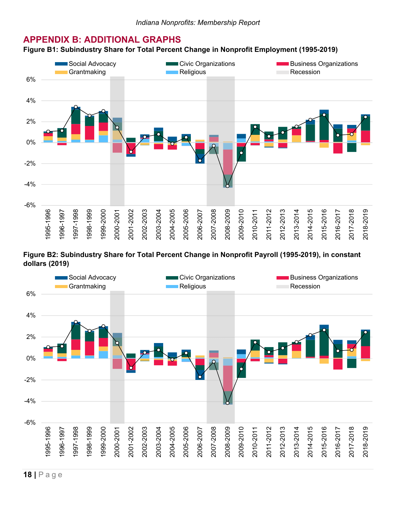### **APPENDIX B: ADDITIONAL GRAPHS**

#### **Figure B1: Subindustry Share for Total Percent Change in Nonprofit Employment (1995-2019)**



**Figure B2: Subindustry Share for Total Percent Change in Nonprofit Payroll (1995-2019), in constant dollars (2019)** 

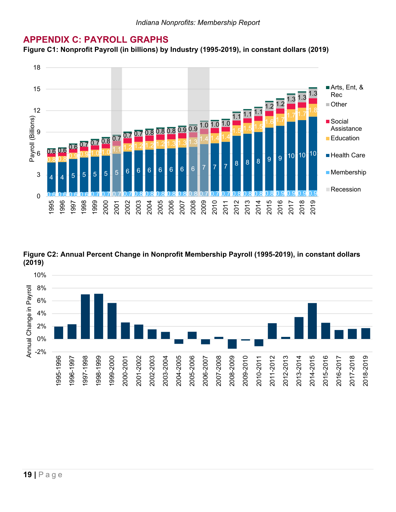### **APPENDIX C: PAYROLL GRAPHS**

**Figure C1: Nonprofit Payroll (in billions) by Industry (1995-2019), in constant dollars (2019)** 



**Figure C2: Annual Percent Change in Nonprofit Membership Payroll (1995-2019), in constant dollars (2019)** 

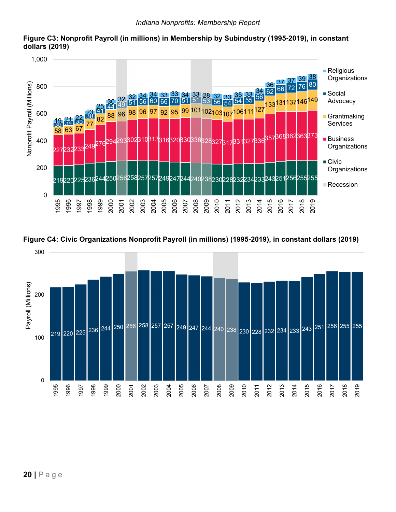

**Figure C3: Nonprofit Payroll (in millions) in Membership by Subindustry (1995-2019), in constant dollars (2019)** 



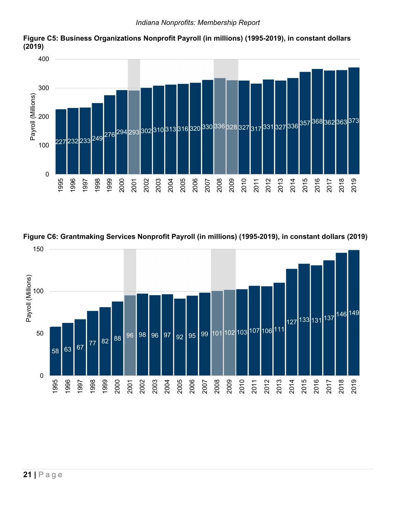

**Figure C5: Business Organizations Nonprofit Payroll (in millions) (1995-2019), in constant dollars (2019)** 



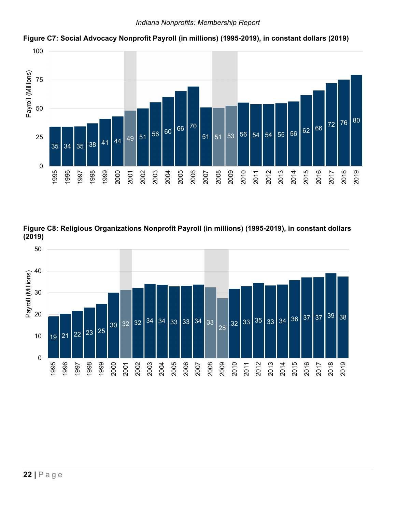

**Figure C7: Social Advocacy Nonprofit Payroll (in millions) (1995-2019), in constant dollars (2019)** 

**Figure C8: Religious Organizations Nonprofit Payroll (in millions) (1995-2019), in constant dollars (2019)**